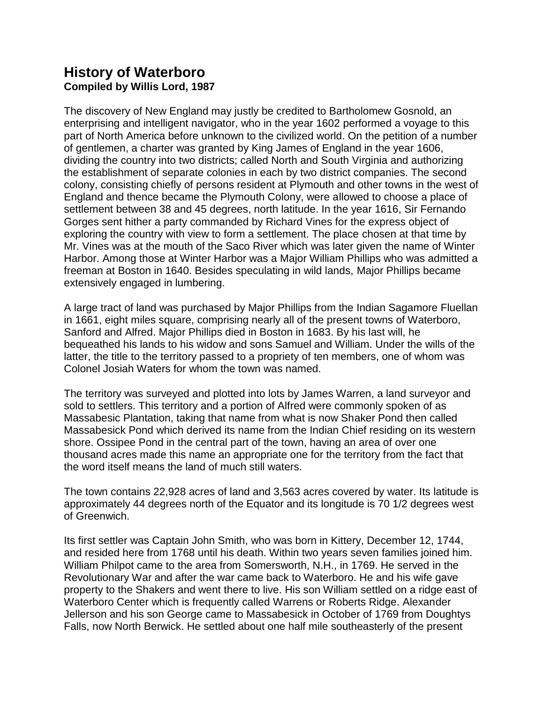## **History of Waterboro Compiled by Willis Lord, 1987**

The discovery of New England may justly be credited to Bartholomew Gosnold, an enterprising and intelligent navigator, who in the year 1602 performed a voyage to this part of North America before unknown to the civilized world. On the petition of a number of gentlemen, a charter was granted by King James of England in the year 1606, dividing the country into two districts; called North and South Virginia and authorizing the establishment of separate colonies in each by two district companies. The second colony, consisting chiefly of persons resident at Plymouth and other towns in the west of England and thence became the Plymouth Colony, were allowed to choose a place of settlement between 38 and 45 degrees, north latitude. In the year 1616, Sir Fernando Gorges sent hither a party commanded by Richard Vines for the express object of exploring the country with view to form a settlement. The place chosen at that time by Mr. Vines was at the mouth of the Saco River which was later given the name of Winter Harbor. Among those at Winter Harbor was a Major William Phillips who was admitted a freeman at Boston in 1640. Besides speculating in wild lands, Major Phillips became extensively engaged in lumbering.

A large tract of land was purchased by Major Phillips from the Indian Sagamore Fluellan in 1661, eight miles square, comprising nearly all of the present towns of Waterboro, Sanford and Alfred. Major Phillips died in Boston in 1683. By his last will, he bequeathed his lands to his widow and sons Samuel and William. Under the wills of the latter, the title to the territory passed to a propriety of ten members, one of whom was Colonel Josiah Waters for whom the town was named.

The territory was surveyed and plotted into lots by James Warren, a land surveyor and sold to settlers. This territory and a portion of Alfred were commonly spoken of as Massabesic Plantation, taking that name from what is now Shaker Pond then called Massabesick Pond which derived its name from the Indian Chief residing on its western shore. Ossipee Pond in the central part of the town, having an area of over one thousand acres made this name an appropriate one for the territory from the fact that the word itself means the land of much still waters.

The town contains 22,928 acres of land and 3,563 acres covered by water. Its latitude is approximately 44 degrees north of the Equator and its longitude is 70 1/2 degrees west of Greenwich.

Its first settler was Captain John Smith, who was born in Kittery, December 12, 1744, and resided here from 1768 until his death. Within two years seven families joined him. William Philpot came to the area from Somersworth, N.H., in 1769. He served in the Revolutionary War and after the war came back to Waterboro. He and his wife gave property to the Shakers and went there to live. His son William settled on a ridge east of Waterboro Center which is frequently called Warrens or Roberts Ridge. Alexander Jellerson and his son George came to Massabesick in October of 1769 from Doughtys Falls, now North Berwick. He settled about one half mile southeasterly of the present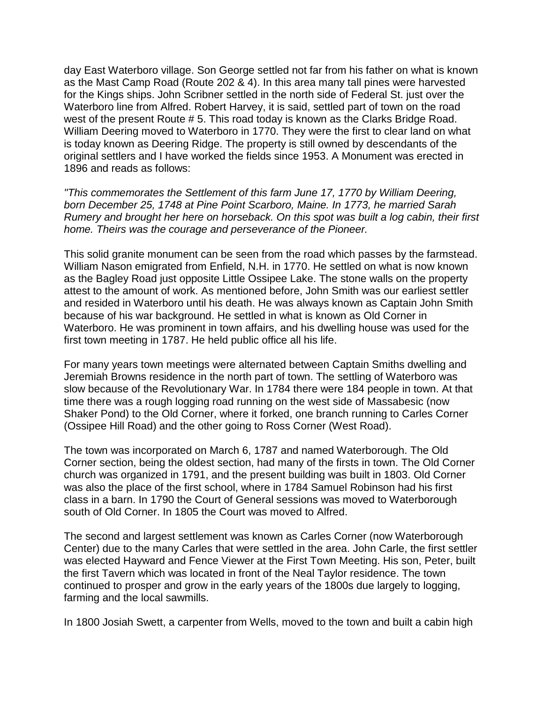day East Waterboro village. Son George settled not far from his father on what is known as the Mast Camp Road (Route 202 & 4). In this area many tall pines were harvested for the Kings ships. John Scribner settled in the north side of Federal St. just over the Waterboro line from Alfred. Robert Harvey, it is said, settled part of town on the road west of the present Route # 5. This road today is known as the Clarks Bridge Road. William Deering moved to Waterboro in 1770. They were the first to clear land on what is today known as Deering Ridge. The property is still owned by descendants of the original settlers and I have worked the fields since 1953. A Monument was erected in 1896 and reads as follows:

*"This commemorates the Settlement of this farm June 17, 1770 by William Deering, born December 25, 1748 at Pine Point Scarboro, Maine. In 1773, he married Sarah Rumery and brought her here on horseback. On this spot was built a log cabin, their first home. Theirs was the courage and perseverance of the Pioneer.*

This solid granite monument can be seen from the road which passes by the farmstead. William Nason emigrated from Enfield, N.H. in 1770. He settled on what is now known as the Bagley Road just opposite Little Ossipee Lake. The stone walls on the property attest to the amount of work. As mentioned before, John Smith was our earliest settler and resided in Waterboro until his death. He was always known as Captain John Smith because of his war background. He settled in what is known as Old Corner in Waterboro. He was prominent in town affairs, and his dwelling house was used for the first town meeting in 1787. He held public office all his life.

For many years town meetings were alternated between Captain Smiths dwelling and Jeremiah Browns residence in the north part of town. The settling of Waterboro was slow because of the Revolutionary War. In 1784 there were 184 people in town. At that time there was a rough logging road running on the west side of Massabesic (now Shaker Pond) to the Old Corner, where it forked, one branch running to Carles Corner (Ossipee Hill Road) and the other going to Ross Corner (West Road).

The town was incorporated on March 6, 1787 and named Waterborough. The Old Corner section, being the oldest section, had many of the firsts in town. The Old Corner church was organized in 1791, and the present building was built in 1803. Old Corner was also the place of the first school, where in 1784 Samuel Robinson had his first class in a barn. In 1790 the Court of General sessions was moved to Waterborough south of Old Corner. In 1805 the Court was moved to Alfred.

The second and largest settlement was known as Carles Corner (now Waterborough Center) due to the many Carles that were settled in the area. John Carle, the first settler was elected Hayward and Fence Viewer at the First Town Meeting. His son, Peter, built the first Tavern which was located in front of the Neal Taylor residence. The town continued to prosper and grow in the early years of the 1800s due largely to logging, farming and the local sawmills.

In 1800 Josiah Swett, a carpenter from Wells, moved to the town and built a cabin high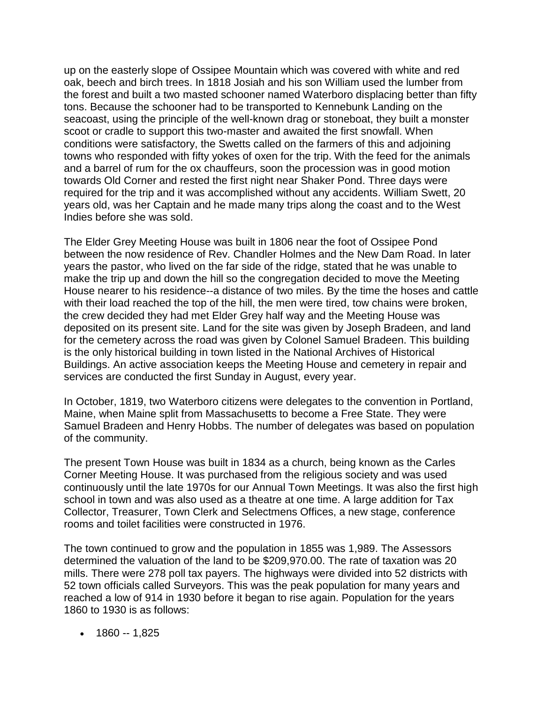up on the easterly slope of Ossipee Mountain which was covered with white and red oak, beech and birch trees. In 1818 Josiah and his son William used the lumber from the forest and built a two masted schooner named Waterboro displacing better than fifty tons. Because the schooner had to be transported to Kennebunk Landing on the seacoast, using the principle of the well-known drag or stoneboat, they built a monster scoot or cradle to support this two-master and awaited the first snowfall. When conditions were satisfactory, the Swetts called on the farmers of this and adjoining towns who responded with fifty yokes of oxen for the trip. With the feed for the animals and a barrel of rum for the ox chauffeurs, soon the procession was in good motion towards Old Corner and rested the first night near Shaker Pond. Three days were required for the trip and it was accomplished without any accidents. William Swett, 20 years old, was her Captain and he made many trips along the coast and to the West Indies before she was sold.

The Elder Grey Meeting House was built in 1806 near the foot of Ossipee Pond between the now residence of Rev. Chandler Holmes and the New Dam Road. In later years the pastor, who lived on the far side of the ridge, stated that he was unable to make the trip up and down the hill so the congregation decided to move the Meeting House nearer to his residence--a distance of two miles. By the time the hoses and cattle with their load reached the top of the hill, the men were tired, tow chains were broken, the crew decided they had met Elder Grey half way and the Meeting House was deposited on its present site. Land for the site was given by Joseph Bradeen, and land for the cemetery across the road was given by Colonel Samuel Bradeen. This building is the only historical building in town listed in the National Archives of Historical Buildings. An active association keeps the Meeting House and cemetery in repair and services are conducted the first Sunday in August, every year.

In October, 1819, two Waterboro citizens were delegates to the convention in Portland, Maine, when Maine split from Massachusetts to become a Free State. They were Samuel Bradeen and Henry Hobbs. The number of delegates was based on population of the community.

The present Town House was built in 1834 as a church, being known as the Carles Corner Meeting House. It was purchased from the religious society and was used continuously until the late 1970s for our Annual Town Meetings. It was also the first high school in town and was also used as a theatre at one time. A large addition for Tax Collector, Treasurer, Town Clerk and Selectmens Offices, a new stage, conference rooms and toilet facilities were constructed in 1976.

The town continued to grow and the population in 1855 was 1,989. The Assessors determined the valuation of the land to be \$209,970.00. The rate of taxation was 20 mills. There were 278 poll tax payers. The highways were divided into 52 districts with 52 town officials called Surveyors. This was the peak population for many years and reached a low of 914 in 1930 before it began to rise again. Population for the years 1860 to 1930 is as follows:

 $\cdot$  1860 -- 1.825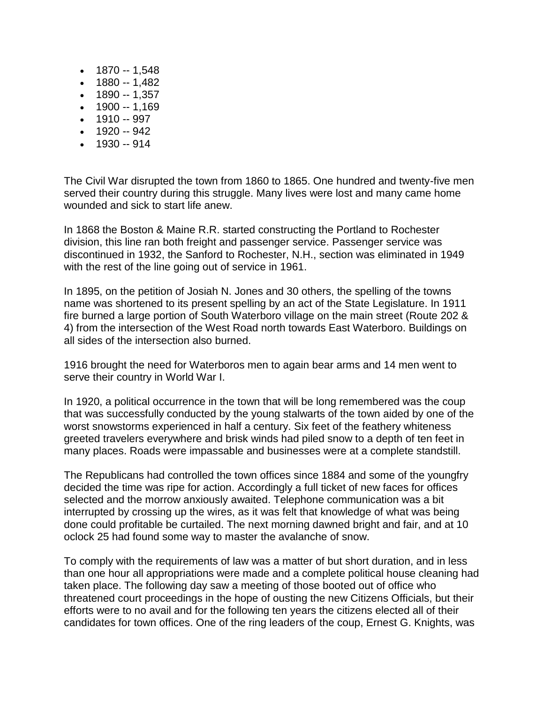- $\bullet$  1870 -- 1,548
- $\bullet$  1880 -- 1,482
- $\bullet$  1890 -- 1,357
- $-1900 1,169$
- $-997$
- $-942$
- $-930 914$

The Civil War disrupted the town from 1860 to 1865. One hundred and twenty-five men served their country during this struggle. Many lives were lost and many came home wounded and sick to start life anew.

In 1868 the Boston & Maine R.R. started constructing the Portland to Rochester division, this line ran both freight and passenger service. Passenger service was discontinued in 1932, the Sanford to Rochester, N.H., section was eliminated in 1949 with the rest of the line going out of service in 1961.

In 1895, on the petition of Josiah N. Jones and 30 others, the spelling of the towns name was shortened to its present spelling by an act of the State Legislature. In 1911 fire burned a large portion of South Waterboro village on the main street (Route 202 & 4) from the intersection of the West Road north towards East Waterboro. Buildings on all sides of the intersection also burned.

1916 brought the need for Waterboros men to again bear arms and 14 men went to serve their country in World War I.

In 1920, a political occurrence in the town that will be long remembered was the coup that was successfully conducted by the young stalwarts of the town aided by one of the worst snowstorms experienced in half a century. Six feet of the feathery whiteness greeted travelers everywhere and brisk winds had piled snow to a depth of ten feet in many places. Roads were impassable and businesses were at a complete standstill.

The Republicans had controlled the town offices since 1884 and some of the youngfry decided the time was ripe for action. Accordingly a full ticket of new faces for offices selected and the morrow anxiously awaited. Telephone communication was a bit interrupted by crossing up the wires, as it was felt that knowledge of what was being done could profitable be curtailed. The next morning dawned bright and fair, and at 10 oclock 25 had found some way to master the avalanche of snow.

To comply with the requirements of law was a matter of but short duration, and in less than one hour all appropriations were made and a complete political house cleaning had taken place. The following day saw a meeting of those booted out of office who threatened court proceedings in the hope of ousting the new Citizens Officials, but their efforts were to no avail and for the following ten years the citizens elected all of their candidates for town offices. One of the ring leaders of the coup, Ernest G. Knights, was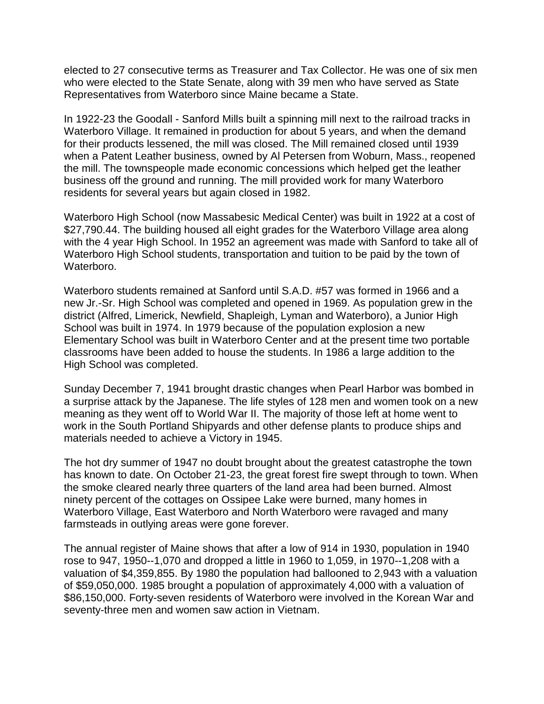elected to 27 consecutive terms as Treasurer and Tax Collector. He was one of six men who were elected to the State Senate, along with 39 men who have served as State Representatives from Waterboro since Maine became a State.

In 1922-23 the Goodall - Sanford Mills built a spinning mill next to the railroad tracks in Waterboro Village. It remained in production for about 5 years, and when the demand for their products lessened, the mill was closed. The Mill remained closed until 1939 when a Patent Leather business, owned by Al Petersen from Woburn, Mass., reopened the mill. The townspeople made economic concessions which helped get the leather business off the ground and running. The mill provided work for many Waterboro residents for several years but again closed in 1982.

Waterboro High School (now Massabesic Medical Center) was built in 1922 at a cost of \$27,790.44. The building housed all eight grades for the Waterboro Village area along with the 4 year High School. In 1952 an agreement was made with Sanford to take all of Waterboro High School students, transportation and tuition to be paid by the town of Waterboro.

Waterboro students remained at Sanford until S.A.D. #57 was formed in 1966 and a new Jr.-Sr. High School was completed and opened in 1969. As population grew in the district (Alfred, Limerick, Newfield, Shapleigh, Lyman and Waterboro), a Junior High School was built in 1974. In 1979 because of the population explosion a new Elementary School was built in Waterboro Center and at the present time two portable classrooms have been added to house the students. In 1986 a large addition to the High School was completed.

Sunday December 7, 1941 brought drastic changes when Pearl Harbor was bombed in a surprise attack by the Japanese. The life styles of 128 men and women took on a new meaning as they went off to World War II. The majority of those left at home went to work in the South Portland Shipyards and other defense plants to produce ships and materials needed to achieve a Victory in 1945.

The hot dry summer of 1947 no doubt brought about the greatest catastrophe the town has known to date. On October 21-23, the great forest fire swept through to town. When the smoke cleared nearly three quarters of the land area had been burned. Almost ninety percent of the cottages on Ossipee Lake were burned, many homes in Waterboro Village, East Waterboro and North Waterboro were ravaged and many farmsteads in outlying areas were gone forever.

The annual register of Maine shows that after a low of 914 in 1930, population in 1940 rose to 947, 1950--1,070 and dropped a little in 1960 to 1,059, in 1970--1,208 with a valuation of \$4,359,855. By 1980 the population had ballooned to 2,943 with a valuation of \$59,050,000. 1985 brought a population of approximately 4,000 with a valuation of \$86,150,000. Forty-seven residents of Waterboro were involved in the Korean War and seventy-three men and women saw action in Vietnam.